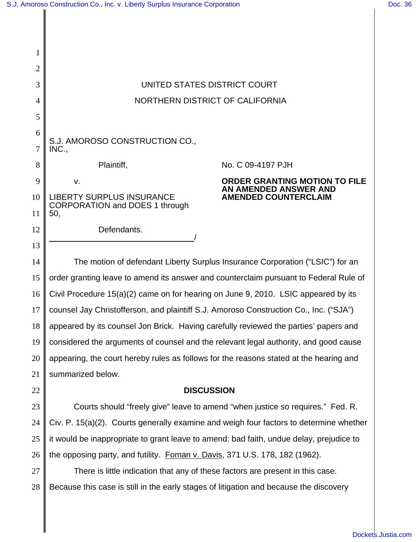| 2  |                                                                                         |                                                      |
|----|-----------------------------------------------------------------------------------------|------------------------------------------------------|
| 3  | UNITED STATES DISTRICT COURT                                                            |                                                      |
| 4  | NORTHERN DISTRICT OF CALIFORNIA                                                         |                                                      |
| 5  |                                                                                         |                                                      |
| 6  | S.J. AMOROSO CONSTRUCTION CO.,                                                          |                                                      |
| 7  | INC.,                                                                                   |                                                      |
| 8  | Plaintiff,                                                                              | No. C 09-4197 PJH                                    |
| 9  | v.                                                                                      | <b>ORDER GRANTING MOTION TO FILE</b>                 |
| 10 | <b>LIBERTY SURPLUS INSURANCE</b><br>CORPORATION and DOES 1 through                      | AN AMENDED ANSWER AND<br><b>AMENDED COUNTERCLAIM</b> |
| 11 | 50,                                                                                     |                                                      |
| 12 | Defendants.                                                                             |                                                      |
| 13 |                                                                                         |                                                      |
| 14 | The motion of defendant Liberty Surplus Insurance Corporation ("LSIC") for an           |                                                      |
| 15 | order granting leave to amend its answer and counterclaim pursuant to Federal Rule of   |                                                      |
| 16 | Civil Procedure 15(a)(2) came on for hearing on June 9, 2010. LSIC appeared by its      |                                                      |
| 17 | counsel Jay Christofferson, and plaintiff S.J. Amoroso Construction Co., Inc. ("SJA")   |                                                      |
| 18 | appeared by its counsel Jon Brick. Having carefully reviewed the parties' papers and    |                                                      |
| 19 | considered the arguments of counsel and the relevant legal authority, and good cause    |                                                      |
| 20 | appearing, the court hereby rules as follows for the reasons stated at the hearing and  |                                                      |
| 21 | summarized below.                                                                       |                                                      |
| 22 | <b>DISCUSSION</b>                                                                       |                                                      |
| 23 | Courts should "freely give" leave to amend "when justice so requires." Fed. R.          |                                                      |
| 24 | Civ. P. 15(a)(2). Courts generally examine and weigh four factors to determine whether  |                                                      |
| 25 | it would be inappropriate to grant leave to amend: bad faith, undue delay, prejudice to |                                                      |
| 26 | the opposing party, and futility. Foman v. Davis, 371 U.S. 178, 182 (1962).             |                                                      |
| 27 | There is little indication that any of these factors are present in this case.          |                                                      |
| 28 | Because this case is still in the early stages of litigation and because the discovery  |                                                      |
|    |                                                                                         |                                                      |